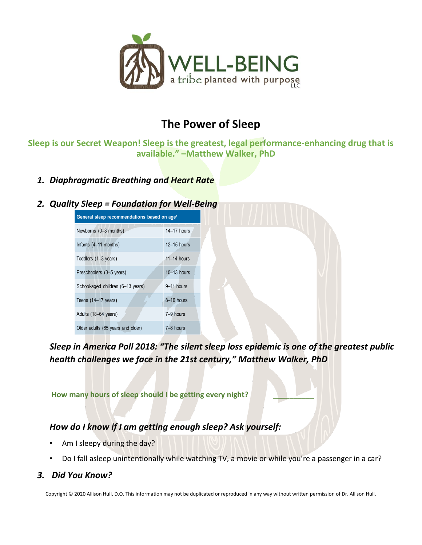

# **The Power of Sleep**

**Sleep is our Secret Weapon! Sleep is the greatest, legal performance-enhancing drug that is available." –Matthew Walker, PhD**

*1. Diaphragmatic Breathing and Heart Rate*

#### *2. Quality Sleep = Foundation for Well-Being*



*Sleep in America Poll 2018: "The silent sleep loss epidemic is one of the greatest public health challenges we face in the 21st century," Matthew Walker, PhD*

**How many hours of sleep should I be getting every night? \_\_\_\_\_\_\_\_\_\_**

#### *How do I know if I am getting enough sleep? Ask yourself:*

- Am I sleepy during the day?
- Do I fall asleep unintentionally while watching TV, a movie or while you're a passenger in a car?

#### *3. Did You Know?*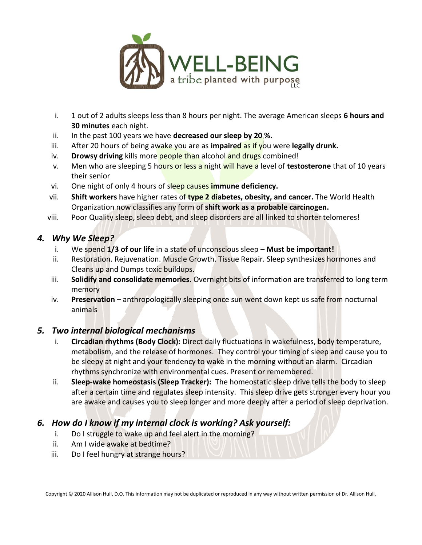

- i. 1 out of 2 adults sleeps less than 8 hours per night. The average American sleeps **6 hours and 30 minutes** each night.
- ii. In the past 100 years we have **decreased our sleep by 20 %.**
- iii. After 20 hours of being awake you are as **impaired** as if you were **legally drunk.**
- iv. **Drowsy driving** kills more **people than alcohol and drugs** combined!
- v. Men who are sleeping 5 hours or less a night will have a level of **testosterone** that of 10 years their senior
- vi. One night of only 4 hours of sleep causes **immune deficiency.**
- vii. **Shift workers** have higher rates of **type 2 diabetes, obesity, and cancer.** The World Health Organization now classifies any form of **shift work as a probable carcinogen.**
- viii. Poor Quality sleep, sleep debt, and sleep disorders are all linked to shorter telomeres!

#### *4. Why We Sleep?*

- i. We spend **1/3 of our life** in a state of unconscious sleep **Must be important!**
- ii. Restoration. Rejuvenation. Muscle Growth. Tissue Repair. Sleep synthesizes hormones and Cleans up and Dumps toxic buildups.
- iii. **Solidify and consolidate memories**. Overnight bits of information are transferred to long term memory
- iv. **Preservation**  anthropologically sleeping once sun went down kept us safe from nocturnal animals

#### *5. Two internal biological mechanisms*

- i. **Circadian rhythms (Body Clock):** Direct daily fluctuations in wakefulness, body temperature, metabolism, and the release of hormones. They control your timing of sleep and cause you to be sleepy at night and your tendency to wake in the morning without an alarm. Circadian rhythms synchronize with environmental cues. Present or remembered.
- ii. **Sleep-wake homeostasis (Sleep Tracker):** The homeostatic sleep drive tells the body to sleep after a certain time and regulates sleep intensity. This sleep drive gets stronger every hour you are awake and causes you to sleep longer and more deeply after a period of sleep deprivation.

# *6. How do I know if my internal clock is working? Ask yourself:*

- i. Do I struggle to wake up and feel alert in the morning?
- ii. Am I wide awake at bedtime?
- iii. Do I feel hungry at strange hours?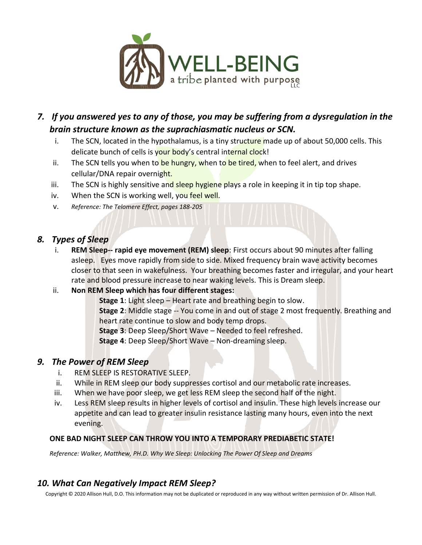

- *7. If you answered yes to any of those, you may be suffering from a dysregulation in the brain structure known as the suprachiasmatic nucleus or SCN.*
	- i. The SCN, located in the hypothalamus, is a tiny structure made up of about 50,000 cells. This delicate bunch of cells is your body's central internal clock!
	- ii. The SCN tells you when to be hungry, when to be tired, when to feel alert, and drives cellular/DNA repair overnight.
	- iii. The SCN is highly sensitive and sleep hygiene plays a role in keeping it in tip top shape.
	- iv. When the SCN is working well, you feel well.
	- v. *Reference: The Telomere Effect, pages 188-205*

### *8. Types of Sleep*

i. **REM Sleep-- rapid eye movement (REM) sleep**: First occurs about 90 minutes after falling asleep. Eyes move rapidly from side to side. Mixed frequency brain wave activity becomes closer to that seen in wakefulness. Your breathing becomes faster and irregular, and your heart rate and blood pressure increase to near waking levels. This is Dream sleep.

#### ii. **Non REM Sleep which has four different stages:**

**Stage 1**: Light sleep – Heart rate and breathing begin to slow. **Stage 2**: Middle stage -- You come in and out of stage 2 most frequently. Breathing and heart rate continue to slow and body temp drops.

**Stage 3**: Deep Sleep/Short Wave – Needed to feel refreshed.

**Stage 4**: Deep Sleep/Short Wave – Non-dreaming sleep.

### *9. The Power of REM Sleep*

- i. REM SLEEP IS RESTORATIVE SLEEP.
- ii. While in REM sleep our body suppresses cortisol and our metabolic rate increases.
- iii. When we have poor sleep, we get less REM sleep the second half of the night.
- iv. Less REM sleep results in higher levels of cortisol and insulin. These high levels increase our appetite and can lead to greater insulin resistance lasting many hours, even into the next evening.

#### **ONE BAD NIGHT SLEEP CAN THROW YOU INTO A TEMPORARY PREDIABETIC STATE!**

*Reference: Walker, Matthew, PH.D. Why We Sleep: Unlocking The Power Of Sleep and Dreams*

# *10. What Can Negatively Impact REM Sleep?*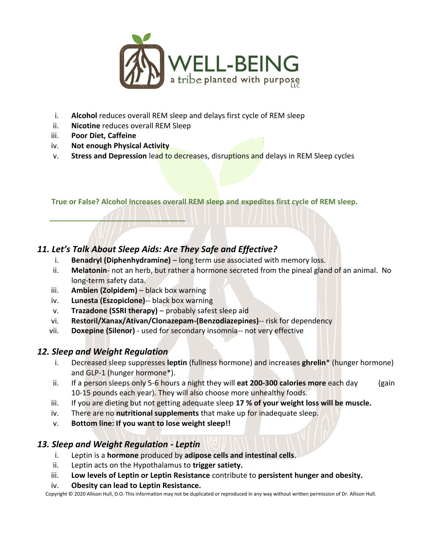

- i. **Alcohol** reduces overall REM sleep and delays first cycle of REM sleep
- ii. **Nicotine** reduces overall REM Sleep
- iii. **Poor Diet, Caffeine**
- iv. **Not enough Physical Activity**

**\_\_\_\_\_\_\_\_\_\_\_\_\_\_\_\_\_\_\_\_\_\_\_\_\_\_\_\_\_\_\_\_\_**

v. **Stress and Depression** lead to decreases, disruptions and delays in REM Sleep cycles

**True or False? Alcohol Increases overall REM sleep and expedites first cycle of REM sleep.**

# *11. Let's Talk About Sleep Aids: Are They Safe and Effective?*

- i. **Benadryl (Diphenhydramine)** long term use associated with memory loss.
- ii. Melatonin- not an herb, but rather a hormone secreted from the pineal gland of an animal. No long-term safety data.
- iii. **Ambien (Zolpidem)** black box warning
- iv. **Lunesta (Eszopiclone)**-- black box warning
- v. **Trazadone (SSRI therapy)** probably safest sleep aid
- vi. **Restoril/Xanax/Ativan/Clonazepam-(Benzodiazepines)**-- risk for dependency
- vii. **Doxepine (Silenor)** used for secondary insomnia-- not very effective

### *12. Sleep and Weight Regulation*

- i. Decreased sleep suppresses **leptin** (fullness hormone) and increases **ghrelin**\* (hunger hormone) and GLP-1 (hunger hormone\*).
- ii. If a person sleeps only 5-6 hours a night they will **eat 200-300 calories more** each day (gain 10-15 pounds each year). They will also choose more unhealthy foods.
- iii. If you are dieting but not getting adequate sleep **17 % of your weight loss will be muscle.**
- iv. There are no **nutritional supplements** that make up for inadequate sleep.
- v. **Bottom line: If you want to lose weight sleep!!**

### *13. Sleep and Weight Regulation - Leptin*

- i. Leptin is a **hormone** produced by **adipose cells and intestinal cells**.
- ii. Leptin acts on the Hypothalamus to **trigger satiety.**
- iii. **Low levels of Leptin or Leptin Resistance** contribute to **persistent hunger and obesity.**

#### iv. **Obesity can lead to Leptin Resistance.**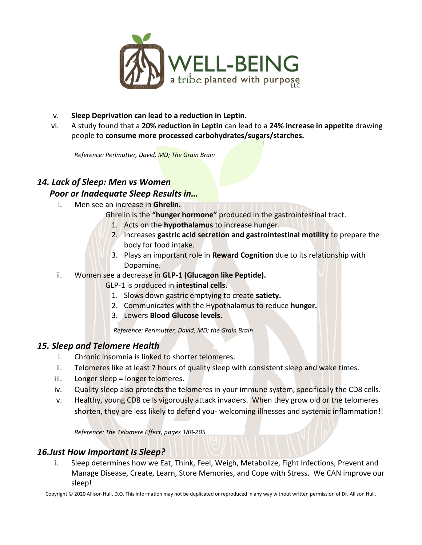

- v. **Sleep Deprivation can lead to a reduction in Leptin.**
- vi. A study found that a **20% reduction in Leptin** can lead to a **24% increase in appetite** drawing people to **consume more processed carbohydrates/sugars/starches.**

*Reference: Perlmutter, David, MD; The Grain Brain*

### *14. Lack of Sleep: Men vs Women*

#### *Poor or Inadequate Sleep Results in…*

- i. Men see an increase in **Ghrelin.**
	- Ghrelin is the **"hunger hormone"** produced in the gastrointestinal tract.
		- 1. Acts on the **hypothalamus** to increase hunger.
		- 2. Increases **gastric acid secretion and gastrointestinal motility** to prepare the body for food intake.
		- 3. Plays an important role in **Reward Cognition** due to its relationship with Dopamine.
- ii. Women see a decrease in **GLP-1 (Glucagon like Peptide).**

GLP-1 is produced in **intestinal cells.**

- 1. Slows down gastric emptying to create **satiety.**
- 2. Communicates with the Hypothalamus to reduce **hunger.**
- 3. Lowers **Blood Glucose levels.**

*Reference: Perlmutter, David, MD; the Grain Brain*

### *15. Sleep and Telomere Health*

- i. Chronic insomnia is linked to shorter telomeres.
- ii. Telomeres like at least 7 hours of quality sleep with consistent sleep and wake times.
- iii. Longer sleep = longer telomeres.
- iv. Quality sleep also protects the telomeres in your immune system, specifically the CD8 cells.
- v. Healthy, young CD8 cells vigorously attack invaders. When they grow old or the telomeres shorten, they are less likely to defend you- welcoming illnesses and systemic inflammation!!

*Reference: The Telomere Effect, pages 188-205*

#### *16.Just How Important Is Sleep?*

i. Sleep determines how we Eat, Think, Feel, Weigh, Metabolize, Fight Infections, Prevent and Manage Disease, Create, Learn, Store Memories, and Cope with Stress. We CAN improve our sleep!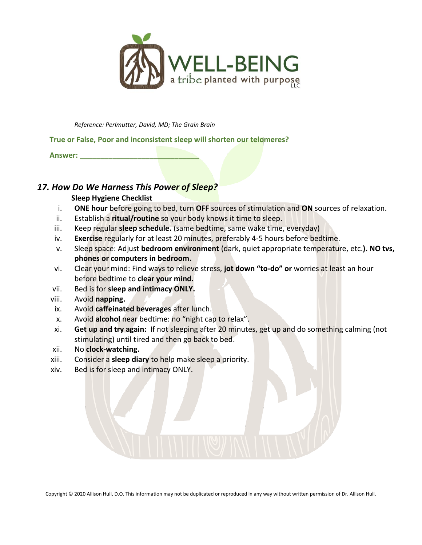

*Reference: Perlmutter, David, MD; The Grain Brain*

#### **True or False, Poor and inconsistent sleep will shorten our telomeres?**

**Answer: \_\_\_\_\_\_\_\_\_\_\_\_\_\_\_\_\_\_\_\_\_\_\_\_\_\_\_\_\_**

#### *17. How Do We Harness This Power of Sleep?*

#### **Sleep Hygiene Checklist**

- i. **ONE hour** before going to bed, turn **OFF** sources of stimulation and **ON** sources of relaxation.
- ii. Establish a **ritual/routine** so your body knows it time to sleep.
- iii. Keep regular **sleep schedule.** (same bedtime, same wake time, everyday)
- iv. **Exercise** regularly for at least 20 minutes, preferably 4-5 hours before bedtime.
- v. Sleep space: Adjust **bedroom environment** (dark, quiet appropriate temperature, etc.**). NO tvs, phones or computers in bedroom.**
- vi. Clear your mind: Find ways to relieve stress, **jot down "to-do" or** worries at least an hour before bedtime to **clear your mind.**
- vii. Bed is for **sleep and intimacy ONLY.**
- viii. Avoid **napping.**
- ix. Avoid **caffeinated beverages** after lunch.
- x. Avoid **alcohol** near bedtime: no "night cap to relax".
- xi. **Get up and try again:** If not sleeping after 20 minutes, get up and do something calming (not stimulating) until tired and then go back to bed.
- xii. No **clock-watching.**
- xiii. Consider a **sleep diary** to help make sleep a priority.
- xiv. Bed is for sleep and intimacy ONLY.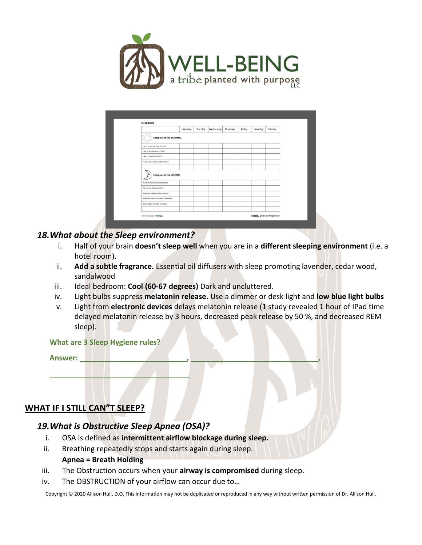

|                                                                      | Monday | Tuesday | Wednesday | Thursday | Friday | Saturday | Sunday |
|----------------------------------------------------------------------|--------|---------|-----------|----------|--------|----------|--------|
| <b>Complete in the MORNING</b>                                       |        |         |           |          |        |          |        |
| I went to bed last riight at (time)                                  |        |         |           |          |        |          |        |
| I got up this morning at (time)                                      |        |         |           |          |        |          |        |
| I slept for a total of (hours)                                       |        |         |           |          |        |          |        |
| I woke up during the night (# times)                                 |        |         |           |          |        |          |        |
| <b>Complete in the EVENING</b><br>Number of caffeinated drinks today |        |         |           |          |        |          |        |
| Time of last caffeinated drink                                       |        |         |           |          |        |          |        |
| Exercise completed today (minutes)                                   |        |         |           |          |        |          |        |
| What I did in the hour before I fell asleep                          |        |         |           |          |        |          |        |
| Mood today? (D=awful, 10=great)                                      |        |         |           |          |        |          |        |
|                                                                      |        |         |           |          |        |          |        |

#### *18.What about the Sleep environment?*

- i. Half of your brain **doesn't sleep well** when you are in a **different sleeping environment** (i.e. a hotel room).
- ii. **Add a subtle fragrance.** Essential oil diffusers with sleep promoting lavender, cedar wood, sandalwood
- iii. Ideal bedroom: **Cool (60-67 degrees)** Dark and uncluttered.
- iv. Light bulbs suppress **melatonin release.** Use a dimmer or desk light and **low blue light bulbs**
- v. Light from **electronic devices** delays melatonin release (1 study revealed 1 hour of IPad time delayed melatonin release by 3 hours, decreased peak release by 50 %, and decreased REM sleep).

**What are 3 Sleep Hygiene rules?**

**Answer: \_\_\_\_\_\_\_\_\_\_\_\_\_\_\_\_\_\_\_\_\_\_\_\_\_\_, \_\_\_\_\_\_\_\_\_\_\_\_\_\_\_\_\_\_\_\_\_\_\_\_\_\_\_\_\_\_\_,**

# **WHAT IF I STILL CAN"T SLEEP?**

### *19.What is Obstructive Sleep Apnea (OSA)?*

**\_\_\_\_\_\_\_\_\_\_\_\_\_\_\_\_\_\_\_\_\_\_\_\_\_\_\_\_\_\_\_\_\_\_**

- i. OSA is defined as **intermittent airflow blockage during sleep.**
- ii. Breathing repeatedly stops and starts again during sleep. **Apnea = Breath Holding**
- iii. The Obstruction occurs when your **airway is compromised** during sleep.
- iv. The OBSTRUCTION of your airflow can occur due to…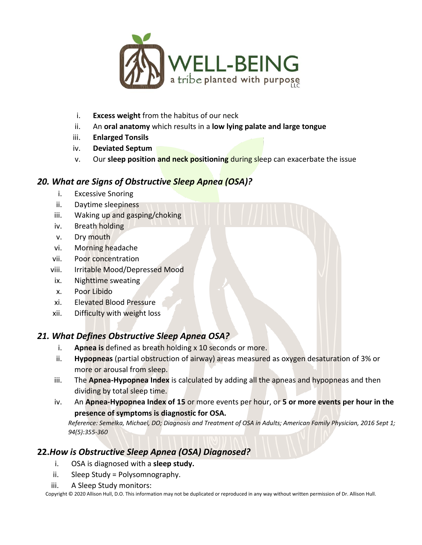

- i. **Excess weight** from the habitus of our neck
- ii. An **oral anatomy** which results in a **low lying palate and large tongue**
- iii. **Enlarged Tonsils**
- iv. **Deviated Septum**
- v. Our **sleep position and neck positioning** during sleep can exacerbate the issue

# *20. What are Signs of Obstructive Sleep Apnea (OSA)?*

- i. Excessive Snoring
- ii. Daytime sleepiness
- iii. Waking up and gasping/choking
- iv. Breath holding
- v. Dry mouth
- vi. Morning headache
- vii. Poor concentration
- viii. Irritable Mood/Depressed Mood
- ix. Nighttime sweating
- x. Poor Libido
- xi. Elevated Blood Pressure
- xii. Difficulty with weight loss

# *21. What Defines Obstructive Sleep Apnea OSA?*

- i. **Apnea is** defined as breath holding x 10 seconds or more.
- ii. **Hypopneas** (partial obstruction of airway) areas measured as oxygen desaturation of 3% or more or arousal from sleep.
- iii. The **Apnea-Hypopnea Index** is calculated by adding all the apneas and hypopneas and then dividing by total sleep time.
- iv. An **Apnea-Hypopnea Index of 15** or more events per hour, or **5 or more events per hour in the presence of symptoms is diagnostic for OSA.**

*Reference: Semelka, Michael, DO; Diagnosis and Treatment of OSA in Adults; American Family Physician, 2016 Sept 1; 94(5):355-360*

# **22.***How is Obstructive Sleep Apnea (OSA) Diagnosed?*

- i. OSA is diagnosed with a **sleep study.**
- ii. Sleep Study = Polysomnography.
- iii. A Sleep Study monitors: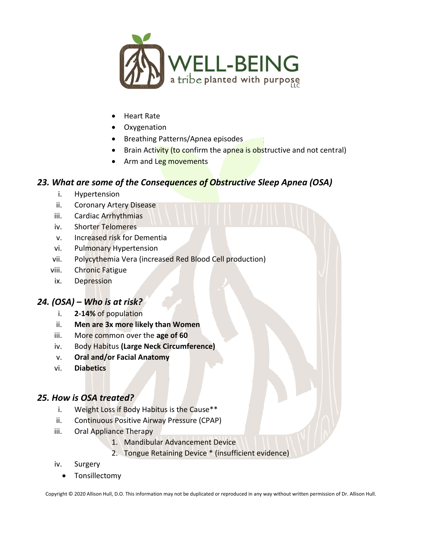

- Heart Rate
- Oxygenation
- Breathing Patterns/Apnea episodes
- Brain Activity (to confirm the apnea is obstructive and not central)
- Arm and Leg movements

#### *23. What are some of the Consequences of Obstructive Sleep Apnea (OSA)*

- i. Hypertension
- ii. Coronary Artery Disease
- iii. Cardiac Arrhythmias
- iv. Shorter Telomeres
- v. Increased risk for Dementia
- vi. Pulmonary Hypertension
- vii. Polycythemia Vera (increased Red Blood Cell production)
- viii. Chronic Fatigue
- ix. Depression

### *24. (OSA) – Who is at risk?*

- i. **2-14%** of population
- ii. **Men are 3x more likely than Women**
- iii. More common over the **age of 60**
- iv. Body Habitus **(Large Neck Circumference)**
- v. **Oral and/or Facial Anatomy**
- vi. **Diabetics**

#### *25. How is OSA treated?*

- i. Weight Loss if Body Habitus is the Cause\*\*
- ii. Continuous Positive Airway Pressure (CPAP)
- iii. Oral Appliance Therapy
	- 1. Mandibular Advancement Device
	- 2. Tongue Retaining Device \* (insufficient evidence)
- iv. Surgery
	- Tonsillectomy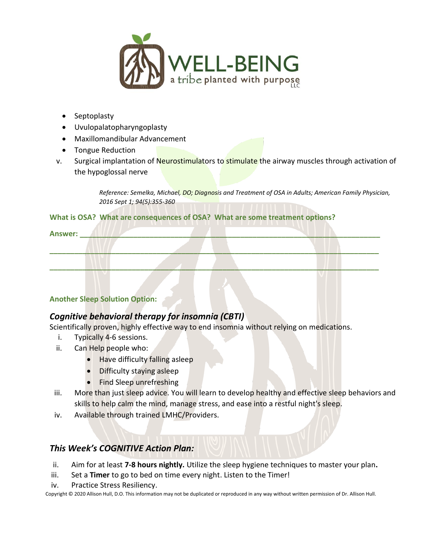

- Septoplasty
- Uvulopalatopharyngoplasty
- Maxillomandibular Advancement
- Tongue Reduction
- v. Surgical implantation of Neurostimulators to stimulate the airway muscles through activation of the hypoglossal nerve

*Reference: Semelka, Michael, DO; Diagnosis and Treatment of OSA in Adults; American Family Physician, 2016 Sept 1; 94(5):355-360*

#### **What is OSA? What are consequences of OSA? What are some treatment options?**

| Answer: |  |  |  |  |
|---------|--|--|--|--|
|         |  |  |  |  |
|         |  |  |  |  |
|         |  |  |  |  |

#### **Another Sleep Solution Option:**

### *Cognitive behavioral therapy for insomnia (CBTI)*

Scientifically proven, highly effective way to end insomnia without relying on medications.

- i. Typically 4-6 sessions.
- ii. Can Help people who:
	- Have difficulty falling asleep
	- Difficulty staying asleep
	- Find Sleep unrefreshing
- iii. More than just sleep advice. You will learn to develop healthy and effective sleep behaviors and skills to help calm the mind, manage stress, and ease into a restful night's sleep.
- iv. Available through trained LMHC/Providers.

# *This Week's COGNITIVE Action Plan:*

ii. Aim for at least **7-8 hours nightly.** Utilize the sleep hygiene techniques to master your plan**.** 

- iii. Set a **Timer** to go to bed on time every night. Listen to the Timer!
- iv. Practice Stress Resiliency.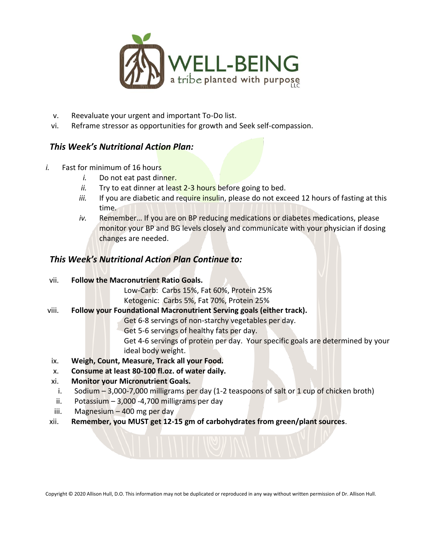

- v. Reevaluate your urgent and important To-Do list.
- vi. Reframe stressor as opportunities for growth and Seek self-compassion.

#### *This Week's Nutritional Action Plan:*

- *i.* Fast for minimum of 16 hours
	- *i.* Do not eat past dinner.
	- ii. Try to eat dinner at least 2-3 hours before going to bed.
	- iii. If you are diabetic and require insulin, please do not exceed 12 hours of fasting at this time.
	- *iv.* Remember… If you are on BP reducing medications or diabetes medications, please monitor your BP and BG levels closely and communicate with your physician if dosing changes are needed.

#### *This Week's Nutritional Action Plan Continue to:*

vii. **Follow the Macronutrient Ratio Goals.**

Low-Carb: Carbs 15%, Fat 60%, Protein 25% Ketogenic: Carbs 5%, Fat 70%, Protein 25%

viii. **Follow your Foundational Macronutrient Serving goals (either track).**

Get 6-8 servings of non-starchy vegetables per day.

Get 5-6 servings of healthy fats per day.

Get 4-6 servings of protein per day. Your specific goals are determined by your ideal body weight.

- ix. **Weigh, Count, Measure, Track all your Food.**
- x. **Consume at least 80-100 fl.oz. of water daily.**
- xi. **Monitor your Micronutrient Goals.**
	- i. Sodium 3,000-7,000 milligrams per day (1-2 teaspoons of salt or 1 cup of chicken broth)
- ii. Potassium  $-3,000 -4,700$  milligrams per day
- iii. Magnesium 400 mg per day
- xii. **Remember, you MUST get 12-15 gm of carbohydrates from green/plant sources**.